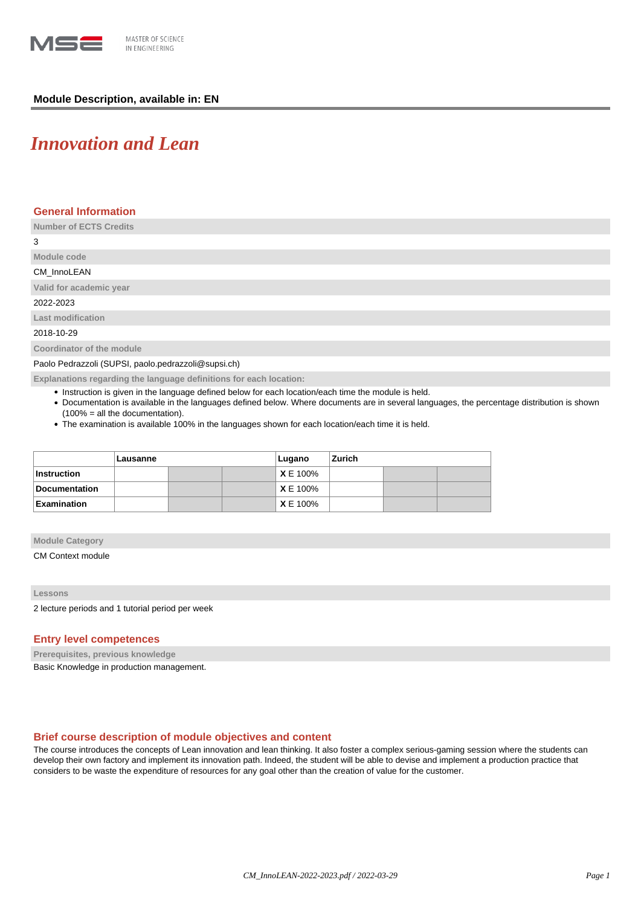

# **Module Description, available in: EN**

# *Innovation and Lean*

## **General Information**

**Number of ECTS Credits**

3

**Module code**

#### CM\_InnoLEAN

**Valid for academic year**

2022-2023

**Last modification**

2018-10-29

**Coordinator of the module**

Paolo Pedrazzoli (SUPSI, paolo.pedrazzoli@supsi.ch)

**Explanations regarding the language definitions for each location:**

- Instruction is given in the language defined below for each location/each time the module is held.
- Documentation is available in the languages defined below. Where documents are in several languages, the percentage distribution is shown (100% = all the documentation).
- The examination is available 100% in the languages shown for each location/each time it is held.

|                    | Lausanne |  |  | Lugano          | Zurich |  |  |
|--------------------|----------|--|--|-----------------|--------|--|--|
| ∣Instruction       |          |  |  | <b>X</b> E 100% |        |  |  |
| Documentation      |          |  |  | <b>X</b> E 100% |        |  |  |
| <b>Examination</b> |          |  |  | <b>X</b> E 100% |        |  |  |

**Module Category**

CM Context module

#### **Lessons**

2 lecture periods and 1 tutorial period per week

### **Entry level competences**

**Prerequisites, previous knowledge**

Basic Knowledge in production management.

## **Brief course description of module objectives and content**

The course introduces the concepts of Lean innovation and lean thinking. It also foster a complex serious-gaming session where the students can develop their own factory and implement its innovation path. Indeed, the student will be able to devise and implement a production practice that considers to be waste the expenditure of resources for any goal other than the creation of value for the customer.